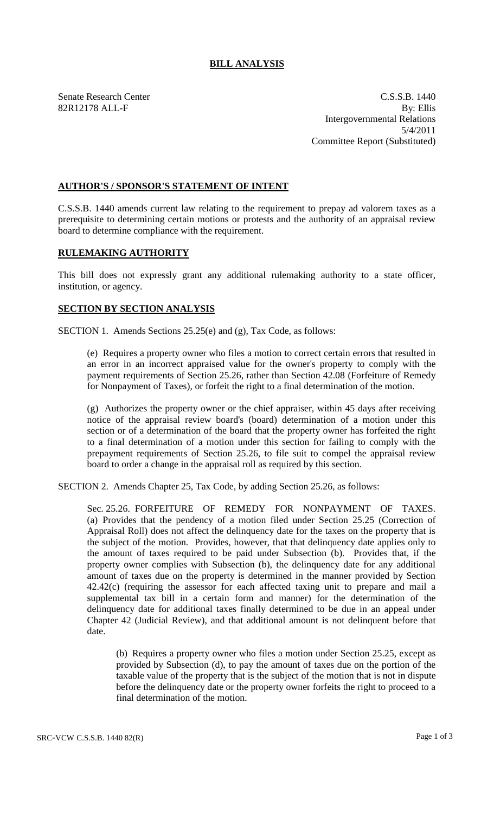## **BILL ANALYSIS**

Senate Research Center C.S.S.B. 1440 82R12178 ALL-F By: Ellis Intergovernmental Relations 5/4/2011 Committee Report (Substituted)

## **AUTHOR'S / SPONSOR'S STATEMENT OF INTENT**

C.S.S.B. 1440 amends current law relating to the requirement to prepay ad valorem taxes as a prerequisite to determining certain motions or protests and the authority of an appraisal review board to determine compliance with the requirement.

## **RULEMAKING AUTHORITY**

This bill does not expressly grant any additional rulemaking authority to a state officer, institution, or agency.

## **SECTION BY SECTION ANALYSIS**

SECTION 1. Amends Sections 25.25(e) and (g), Tax Code, as follows:

(e) Requires a property owner who files a motion to correct certain errors that resulted in an error in an incorrect appraised value for the owner's property to comply with the payment requirements of Section 25.26, rather than Section 42.08 (Forfeiture of Remedy for Nonpayment of Taxes), or forfeit the right to a final determination of the motion.

(g) Authorizes the property owner or the chief appraiser, within 45 days after receiving notice of the appraisal review board's (board) determination of a motion under this section or of a determination of the board that the property owner has forfeited the right to a final determination of a motion under this section for failing to comply with the prepayment requirements of Section 25.26, to file suit to compel the appraisal review board to order a change in the appraisal roll as required by this section.

SECTION 2. Amends Chapter 25, Tax Code, by adding Section 25.26, as follows:

Sec. 25.26. FORFEITURE OF REMEDY FOR NONPAYMENT OF TAXES. (a) Provides that the pendency of a motion filed under Section 25.25 (Correction of Appraisal Roll) does not affect the delinquency date for the taxes on the property that is the subject of the motion. Provides, however, that that delinquency date applies only to the amount of taxes required to be paid under Subsection (b). Provides that, if the property owner complies with Subsection (b), the delinquency date for any additional amount of taxes due on the property is determined in the manner provided by Section 42.42(c) (requiring the assessor for each affected taxing unit to prepare and mail a supplemental tax bill in a certain form and manner) for the determination of the delinquency date for additional taxes finally determined to be due in an appeal under Chapter 42 (Judicial Review), and that additional amount is not delinquent before that date.

(b) Requires a property owner who files a motion under Section 25.25, except as provided by Subsection (d), to pay the amount of taxes due on the portion of the taxable value of the property that is the subject of the motion that is not in dispute before the delinquency date or the property owner forfeits the right to proceed to a final determination of the motion.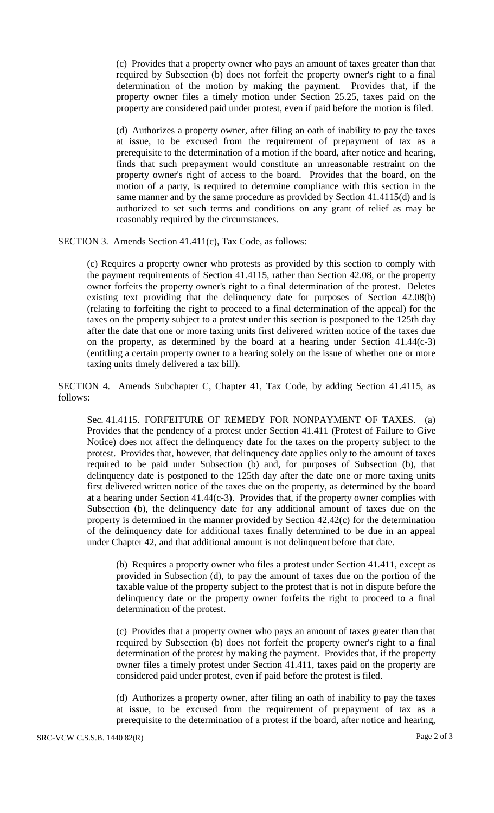(c) Provides that a property owner who pays an amount of taxes greater than that required by Subsection (b) does not forfeit the property owner's right to a final determination of the motion by making the payment. Provides that, if the property owner files a timely motion under Section 25.25, taxes paid on the property are considered paid under protest, even if paid before the motion is filed.

(d) Authorizes a property owner, after filing an oath of inability to pay the taxes at issue, to be excused from the requirement of prepayment of tax as a prerequisite to the determination of a motion if the board, after notice and hearing, finds that such prepayment would constitute an unreasonable restraint on the property owner's right of access to the board. Provides that the board, on the motion of a party, is required to determine compliance with this section in the same manner and by the same procedure as provided by Section 41.4115(d) and is authorized to set such terms and conditions on any grant of relief as may be reasonably required by the circumstances.

SECTION 3. Amends Section 41.411(c), Tax Code, as follows:

(c) Requires a property owner who protests as provided by this section to comply with the payment requirements of Section 41.4115, rather than Section 42.08, or the property owner forfeits the property owner's right to a final determination of the protest. Deletes existing text providing that the delinquency date for purposes of Section 42.08(b) (relating to forfeiting the right to proceed to a final determination of the appeal) for the taxes on the property subject to a protest under this section is postponed to the 125th day after the date that one or more taxing units first delivered written notice of the taxes due on the property, as determined by the board at a hearing under Section 41.44(c-3) (entitling a certain property owner to a hearing solely on the issue of whether one or more taxing units timely delivered a tax bill).

SECTION 4. Amends Subchapter C, Chapter 41, Tax Code, by adding Section 41.4115, as follows:

Sec. 41.4115. FORFEITURE OF REMEDY FOR NONPAYMENT OF TAXES. (a) Provides that the pendency of a protest under Section 41.411 (Protest of Failure to Give Notice) does not affect the delinquency date for the taxes on the property subject to the protest. Provides that, however, that delinquency date applies only to the amount of taxes required to be paid under Subsection (b) and, for purposes of Subsection (b), that delinquency date is postponed to the 125th day after the date one or more taxing units first delivered written notice of the taxes due on the property, as determined by the board at a hearing under Section 41.44(c-3). Provides that, if the property owner complies with Subsection (b), the delinquency date for any additional amount of taxes due on the property is determined in the manner provided by Section 42.42(c) for the determination of the delinquency date for additional taxes finally determined to be due in an appeal under Chapter 42, and that additional amount is not delinquent before that date.

(b) Requires a property owner who files a protest under Section 41.411, except as provided in Subsection (d), to pay the amount of taxes due on the portion of the taxable value of the property subject to the protest that is not in dispute before the delinquency date or the property owner forfeits the right to proceed to a final determination of the protest.

(c) Provides that a property owner who pays an amount of taxes greater than that required by Subsection (b) does not forfeit the property owner's right to a final determination of the protest by making the payment. Provides that, if the property owner files a timely protest under Section 41.411, taxes paid on the property are considered paid under protest, even if paid before the protest is filed.

(d) Authorizes a property owner, after filing an oath of inability to pay the taxes at issue, to be excused from the requirement of prepayment of tax as a prerequisite to the determination of a protest if the board, after notice and hearing,